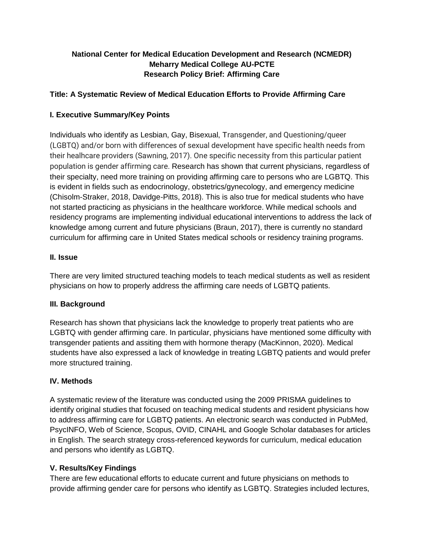# **National Center for Medical Education Development and Research (NCMEDR) Meharry Medical College AU-PCTE Research Policy Brief: Affirming Care**

## **Title: A Systematic Review of Medical Education Efforts to Provide Affirming Care**

## **I. Executive Summary/Key Points**

Individuals who identify as Lesbian, Gay, Bisexual, Transgender, and Questioning/queer (LGBTQ) and/or born with differences of sexual development have specific health needs from their healhcare providers (Sawning, 2017). One specific necessity from this particular patient population is gender affirming care. Research has shown that current physicians, regardless of their specialty, need more training on providing affirming care to persons who are LGBTQ. This is evident in fields such as endocrinology, obstetrics/gynecology, and emergency medicine (Chisolm-Straker, 2018, Davidge-Pitts, 2018). This is also true for medical students who have not started practicing as physicians in the healthcare workforce. While medical schools and residency programs are implementing individual educational interventions to address the lack of knowledge among current and future physicians (Braun, 2017), there is currently no standard curriculum for affirming care in United States medical schools or residency training programs.

#### **II. Issue**

There are very limited structured teaching models to teach medical students as well as resident physicians on how to properly address the affirming care needs of LGBTQ patients.

#### **III. Background**

Research has shown that physicians lack the knowledge to properly treat patients who are LGBTQ with gender affirming care. In particular, physicians have mentioned some difficulty with transgender patients and assiting them with hormone therapy (MacKinnon, 2020). Medical students have also expressed a lack of knowledge in treating LGBTQ patients and would prefer more structured training.

#### **IV. Methods**

A systematic review of the literature was conducted using the 2009 PRISMA guidelines to identify original studies that focused on teaching medical students and resident physicians how to address affirming care for LGBTQ patients. An electronic search was conducted in PubMed, PsycINFO, Web of Science, Scopus, OVID, CINAHL and Google Scholar databases for articles in English. The search strategy cross-referenced keywords for curriculum, medical education and persons who identify as LGBTQ.

#### **V. Results/Key Findings**

There are few educational efforts to educate current and future physicians on methods to provide affirming gender care for persons who identify as LGBTQ. Strategies included lectures,